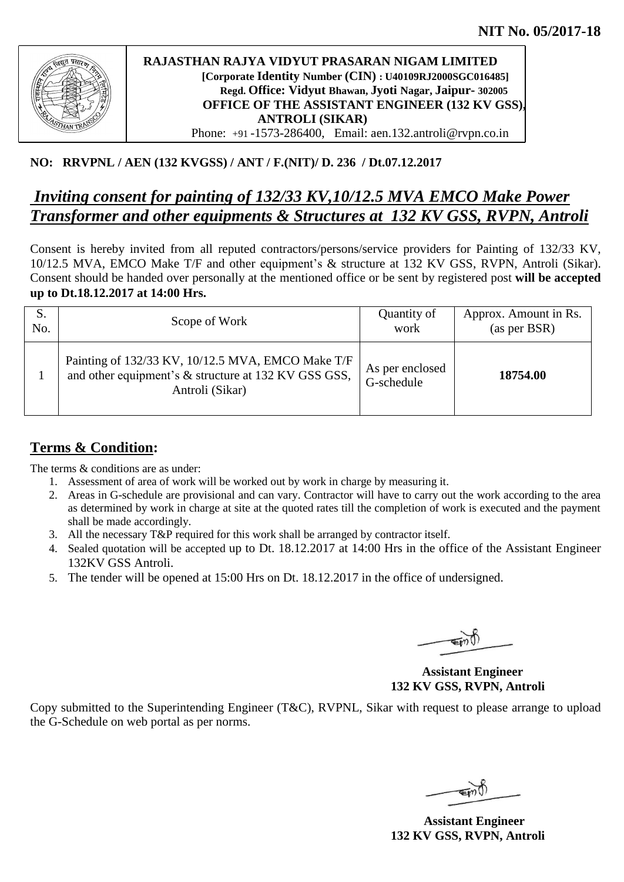

### **RAJASTHAN RAJYA VIDYUT PRASARAN NIGAM LIMITED [Corporate Identity Number (CIN) : U40109RJ2000SGC016485] Regd. Office: Vidyut Bhawan, Jyoti Nagar, Jaipur- 302005 OFFICE OF THE ASSISTANT ENGINEER (132 KV GSS), ANTROLI (SIKAR)**  Phone: +91 -1573-286400, Email: aen.132.antroli@rvpn.co.in

### **NO: RRVPNL / AEN (132 KVGSS) / ANT / F.(NIT)/ D. 236 / Dt.07.12.2017**

# *Inviting consent for painting of 132/33 KV,10/12.5 MVA EMCO Make Power Transformer and other equipments & Structures at 132 KV GSS, RVPN, Antroli*

Consent is hereby invited from all reputed contractors/persons/service providers for Painting of 132/33 KV, 10/12.5 MVA, EMCO Make T/F and other equipment's & structure at 132 KV GSS, RVPN, Antroli (Sikar). Consent should be handed over personally at the mentioned office or be sent by registered post **will be accepted up to Dt.18.12.2017 at 14:00 Hrs.**

| No. | Scope of Work                                                                                                                | Quantity of<br>work           | Approx. Amount in Rs.<br>(as per BSR) |
|-----|------------------------------------------------------------------------------------------------------------------------------|-------------------------------|---------------------------------------|
|     | Painting of 132/33 KV, 10/12.5 MVA, EMCO Make T/F<br>and other equipment's & structure at 132 KV GSS GSS,<br>Antroli (Sikar) | As per enclosed<br>G-schedule | 18754.00                              |

## **Terms & Condition:**

The terms  $\&$  conditions are as under:

- 1. Assessment of area of work will be worked out by work in charge by measuring it.
- 2. Areas in G-schedule are provisional and can vary. Contractor will have to carry out the work according to the area as determined by work in charge at site at the quoted rates till the completion of work is executed and the payment shall be made accordingly.
- 3. All the necessary T&P required for this work shall be arranged by contractor itself.
- 4. Sealed quotation will be accepted up to Dt. 18.12.2017 at 14:00 Hrs in the office of the Assistant Engineer 132KV GSS Antroli.
- 5. The tender will be opened at 15:00 Hrs on Dt. 18.12.2017 in the office of undersigned.

 **Assistant Engineer 132 KV GSS, RVPN, Antroli**

Copy submitted to the Superintending Engineer (T&C), RVPNL, Sikar with request to please arrange to upload the G-Schedule on web portal as per norms.

 **Assistant Engineer 132 KV GSS, RVPN, Antroli**